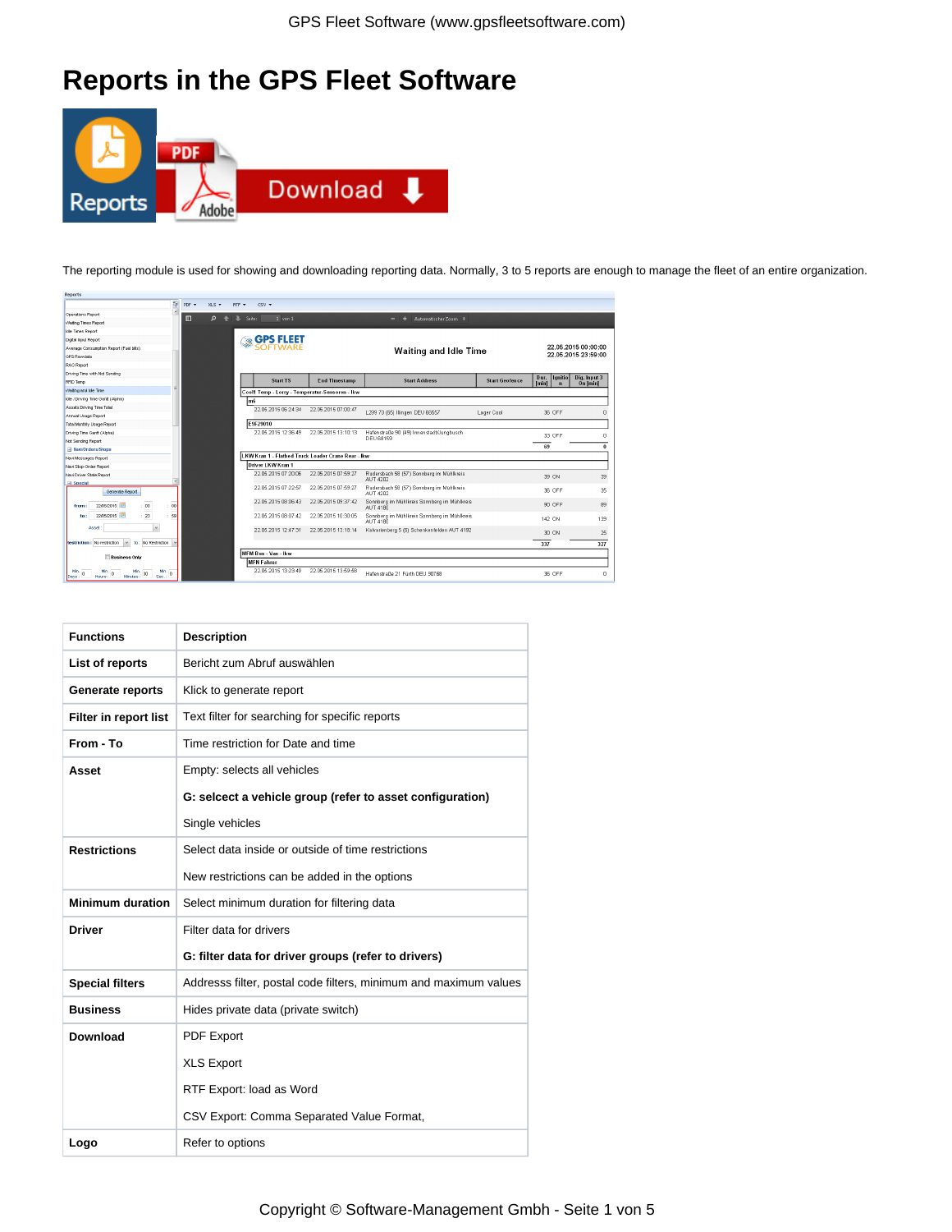## **Reports in the GPS Fleet Software**



The reporting module is used for showing and downloading reporting data. Normally, 3 to 5 reports are enough to manage the fleet of an entire organization.

| <b>REDOLLS</b>                                                                     |                |                             |        |                     |                                                    |                                                              |                       |                       |                     |
|------------------------------------------------------------------------------------|----------------|-----------------------------|--------|---------------------|----------------------------------------------------|--------------------------------------------------------------|-----------------------|-----------------------|---------------------|
| 忌                                                                                  | PDF +          | $XLS$ $\blacktriangleright$ | RTF *  | $CSV -$             |                                                    |                                                              |                       |                       |                     |
| <b>Coerations Report</b>                                                           | $\blacksquare$ | Q                           | Seite: | $1$ von $1$         |                                                    | Automatischer Zoom =<br>-                                    |                       |                       |                     |
| Watting Times Report                                                               |                |                             |        |                     |                                                    |                                                              |                       |                       |                     |
| Ide Times Report                                                                   |                |                             |        |                     |                                                    |                                                              |                       |                       |                     |
| Digital Input Report                                                               |                |                             |        | <b>GPS FLEET</b>    |                                                    |                                                              |                       |                       |                     |
| Average Consumption Report (Fuel bills)                                            |                |                             |        | SOFTWARE            |                                                    | Waiting and Idle Time                                        |                       |                       | 22.05.2015 00:00:00 |
| <b>GPS Rewdete</b>                                                                 |                |                             |        |                     |                                                    |                                                              |                       |                       | 22.05.2015 23:59:00 |
| <b>RAG Report</b>                                                                  |                |                             |        |                     |                                                    |                                                              |                       |                       |                     |
| Driving Time with Not Sending                                                      |                |                             |        |                     |                                                    |                                                              |                       | lqnitio<br>Dur.       | Dig. Input 3        |
| RFID Temp                                                                          |                |                             |        | <b>Start TS</b>     | <b>End Timestamp</b>                               | <b>Start Address</b>                                         | <b>Start Geofence</b> | [min]<br>$\mathbf{n}$ | On [min]            |
| Waiting and lole Time                                                              |                |                             |        |                     | Cool1 Temp - Lorry - Temperatur-Sensoren - Ikw     |                                                              |                       |                       |                     |
| Idle / Driving Time Gantt (Alpha)                                                  |                |                             | m6     |                     |                                                    |                                                              |                       |                       |                     |
| Assets Driving Time Total                                                          |                |                             |        | 22.05.2015 06:24:34 | 22.05.2015 07:00:47                                | L299 70 (65) Illingen DEU 66557                              | Lager Cool            | 36 OFF                |                     |
| Annual Usage Report                                                                |                |                             |        |                     |                                                    |                                                              |                       |                       |                     |
| <b>Total Monthly Usage Report</b>                                                  |                |                             |        | E9F29010            |                                                    |                                                              |                       |                       |                     |
| Driving Time Gentt (Alpha)                                                         |                |                             |        | 22.05.2015 12:36:49 | 22.05.2015 13:10:13                                | Hafenstraße 90 (49) Innenstadt/Jungbusch<br><b>DEU 68159</b> |                       | 33 OFF                | n                   |
| Not Sending Report                                                                 |                |                             |        |                     |                                                    |                                                              |                       | 69                    | n                   |
| - Navi/Orders/Stops                                                                |                |                             |        |                     | LKW Kran 1 - Flatbed Truck Loader Crane Rear - Ikw |                                                              |                       |                       |                     |
| Navi Messages Report                                                               |                |                             |        |                     |                                                    |                                                              |                       |                       |                     |
| Navi Stop-Order Report                                                             |                |                             |        | Driver LKW Kran 1   |                                                    |                                                              |                       |                       |                     |
| Navi Driver State Report<br><b>El Special</b>                                      |                |                             |        | 22.05.2015 07:20:06 | 22.05.2016 07:59:27                                | Rudersbach 58 (57) Sonnberg im Mühlkreis<br>AUT 4202         |                       | 39 ON                 | 39                  |
| Generate Report                                                                    |                |                             |        | 22.05.2015 07:22:57 | 22.05.2015.07.59:27                                | Rudersbach 58 (57) Sonnberg im Mühlkreis<br>AUT 4202         |                       | 36 OFF                | 35                  |
| : 90<br>00<br>22/05/2015<br>from:                                                  |                |                             |        | 22.05.2015 08:06:43 | 22.06.2015 09:37:42                                | Sonnberg im Mühlkreis Sonnberg im Mühlkreis<br>AUT 4180      |                       | 90 OFF                | 89                  |
| 59<br>22/05/2015<br>23<br>to:                                                      |                |                             |        | 22.05.2015 08:07:42 | 22.05.2015 10:30:05                                | Sonnberg im Mühlkreis Sonnberg im Mühlkreis<br>AUT 4180      |                       | 142 ON                | 139                 |
| $_{\rm v}$<br>Asset                                                                |                |                             |        | 22.05.2015 12:47:31 | 22.05.2015 13:18:14                                | Kalvarienberg 5 (6) Schenkenfelden AUT 4192                  |                       | 30 ON                 | 25                  |
| to: No Restriction<br>Restriction: No restriction<br>$\sim$                        |                |                             |        |                     |                                                    |                                                              |                       | 337                   | 327                 |
| <b>Business Only</b>                                                               |                |                             |        | MFM Bus - Van - Ikw |                                                    |                                                              |                       |                       |                     |
|                                                                                    |                |                             |        | <b>MFN Fahrer</b>   |                                                    |                                                              |                       |                       |                     |
| Mn<br>Min.<br>$\circ$<br>$\circ$<br>n<br>30<br>Minutes.<br>Sec.<br>Hours:<br>Days: |                |                             |        | 22.05.2015 13:23:49 | 22.05.2015 13:59:58                                | Hafenstraße 21 Fürth DEU 90768                               |                       | 36 OFF                | n                   |

| <b>Functions</b>        | <b>Description</b>                                               |
|-------------------------|------------------------------------------------------------------|
| List of reports         | Bericht zum Abruf auswählen                                      |
| Generate reports        | Klick to generate report                                         |
| Filter in report list   | Text filter for searching for specific reports                   |
| From - To               | Time restriction for Date and time                               |
| Asset                   | Empty: selects all vehicles                                      |
|                         | G: selcect a vehicle group (refer to asset configuration)        |
|                         | Single vehicles                                                  |
| <b>Restrictions</b>     | Select data inside or outside of time restrictions               |
|                         | New restrictions can be added in the options                     |
| <b>Minimum duration</b> | Select minimum duration for filtering data                       |
| Driver                  | Filter data for drivers                                          |
|                         | G: filter data for driver groups (refer to drivers)              |
| <b>Special filters</b>  | Addresss filter, postal code filters, minimum and maximum values |
| <b>Business</b>         | Hides private data (private switch)                              |
| Download                | <b>PDF Export</b>                                                |
|                         | <b>XLS Export</b>                                                |
|                         | RTF Export: load as Word                                         |
|                         | CSV Export: Comma Separated Value Format,                        |
| Logo                    | Refer to options                                                 |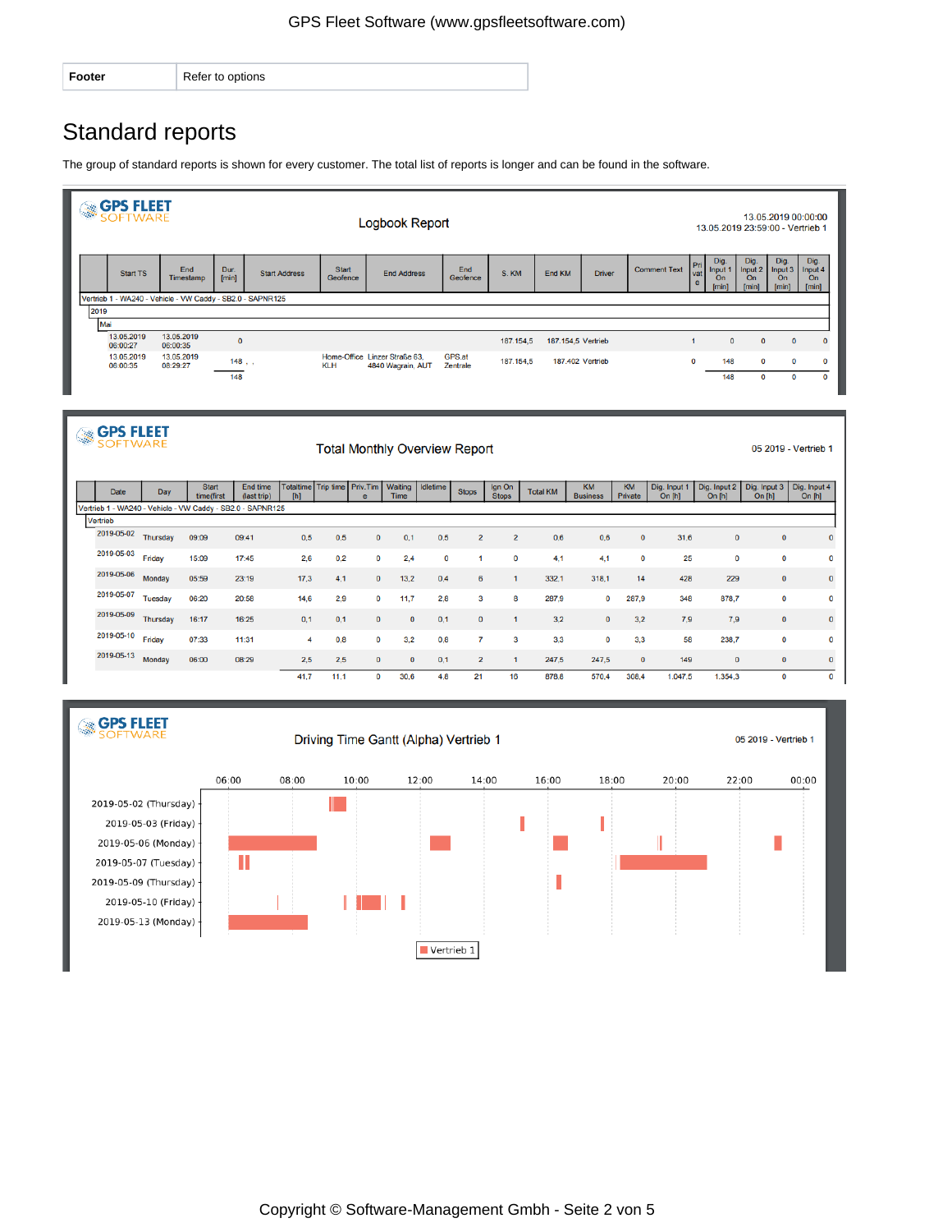| Footer | Refer to options |
|--------|------------------|
|        |                  |

## Standard reports

The group of standard reports is shown for every customer. The total list of reports is longer and can be found in the software.



| GH. | <b>GPS FLEET</b>                                                       |                 |                            |                         |                                      |      |              |                        | <b>Total Monthly Overview Report</b> |                |                        |                 |                              |                      |                          |                          |                          | 05 2019 - Vertrieb 1     |
|-----|------------------------------------------------------------------------|-----------------|----------------------------|-------------------------|--------------------------------------|------|--------------|------------------------|--------------------------------------|----------------|------------------------|-----------------|------------------------------|----------------------|--------------------------|--------------------------|--------------------------|--------------------------|
|     | Date                                                                   | Day             | <b>Start</b><br>time(first | End time<br>(last trip) | Totaltime Trip time Priv. Tim<br>[h] |      | $\theta$     | Waiting<br><b>Time</b> | <b>Idletime</b>                      | <b>Stops</b>   | Ign On<br><b>Stops</b> | <b>Total KM</b> | <b>KM</b><br><b>Business</b> | <b>KM</b><br>Private | Dig. Input 1<br>On $[h]$ | Dig. Input 2<br>On $[h]$ | Dig. Input 3<br>On $[h]$ | Dig. Input 4<br>On $[h]$ |
|     | Vertrieb 1 - WA240 - Vehicle - VW Caddy - SB2.0 - SAPNR125<br>Vertrieb |                 |                            |                         |                                      |      |              |                        |                                      |                |                        |                 |                              |                      |                          |                          |                          |                          |
|     |                                                                        |                 |                            |                         |                                      |      |              |                        |                                      |                |                        |                 |                              |                      |                          |                          |                          |                          |
|     | 2019-05-02                                                             | Thursday        | 09:09                      | 09:41                   | 0,5                                  | 0,5  | 0            | 0.1                    | 0.5                                  | $\overline{2}$ | $\overline{2}$         | 0,6             | 0,6                          | $\mathbf{0}$         | 31,6                     | $\mathbf 0$              | $\mathbf 0$              | $\mathbf 0$              |
|     | 2019-05-03                                                             | Friday          | 15:09                      | 17:45                   | 2,6                                  | 0.2  | 0            | 2,4                    | 0                                    |                | 0                      | 4,1             | 4.1                          | 0                    | 25                       | $\mathbf 0$              | 0                        | $\mathbf 0$              |
|     | 2019-05-06                                                             | Monday          | 05:59                      | 23:19                   | 17.3                                 | 4,1  | 0            | 13.2                   | 0.4                                  | 6              |                        | 332,1           | 318,1                        | 14                   | 428                      | 229                      | $\mathbf{0}$             | $\pmb{0}$                |
|     | 2019-05-07                                                             | Tuesday         | 06:20                      | 20:58                   | 14,6                                 | 2.9  | 0            | 11.7                   | 2.8                                  | 3              | 8                      | 287,9           | $\mathbf 0$                  | 287.9                | 348                      | 878.7                    | $\mathbf 0$              | $\mathbf 0$              |
|     | 2019-05-09                                                             | <b>Thursday</b> | 16:17                      | 16:25                   | 0,1                                  | 0,1  | $\mathbf{0}$ | $\mathbf{0}$           | 0.1                                  | $\mathbf{0}$   | -1                     | 3,2             | $\mathbf{0}$                 | 3.2                  | 7,9                      | 7,9                      | $\mathbf{0}$             | $\pmb{0}$                |
|     | 2019-05-10                                                             | Friday          | 07:33                      | 11:31                   | 4                                    | 0.8  | 0            | 3.2                    | 0.8                                  | 7              | 3                      | 3,3             | 0                            | 3.3                  | 58                       | 238,7                    | 0                        | $\mathbf 0$              |
|     | 2019-05-13                                                             | Monday          | 06:00                      | 08:29                   | 2.5                                  | 2,5  | 0            | $\mathbf 0$            | 0,1                                  | $\overline{2}$ |                        | 247,5           | 247,5                        | $\mathbf 0$          | 149                      | $\mathbf 0$              | $\mathbf{0}$             | $\mathbf{0}$             |
|     |                                                                        |                 |                            |                         | 41.7                                 | 11.1 | 0            | 30.6                   | 4.8                                  | 21             | 16                     | 878,8           | 570,4                        | 308.4                | 1.047,5                  | 1.354,3                  | $\mathbf 0$              | $\mathbf 0$              |

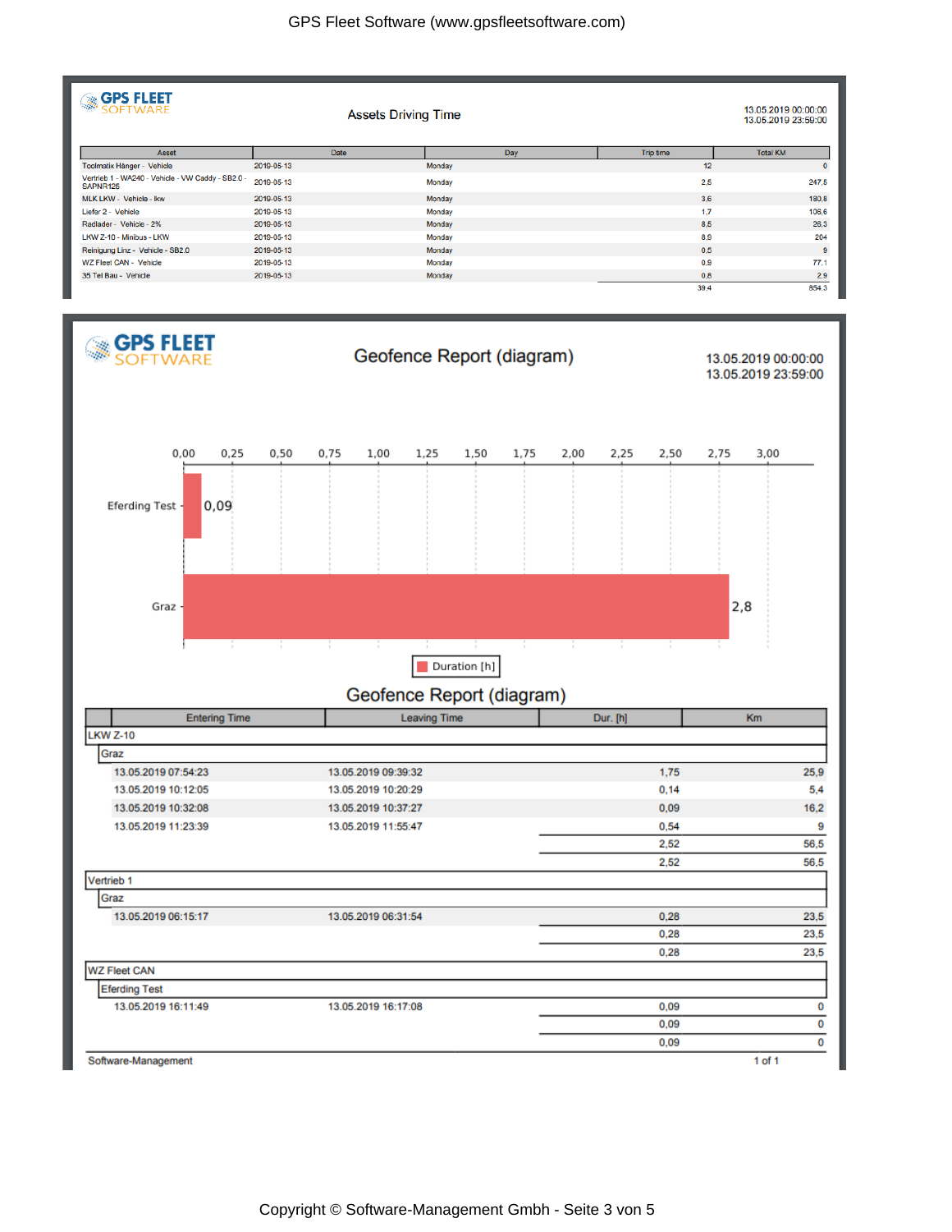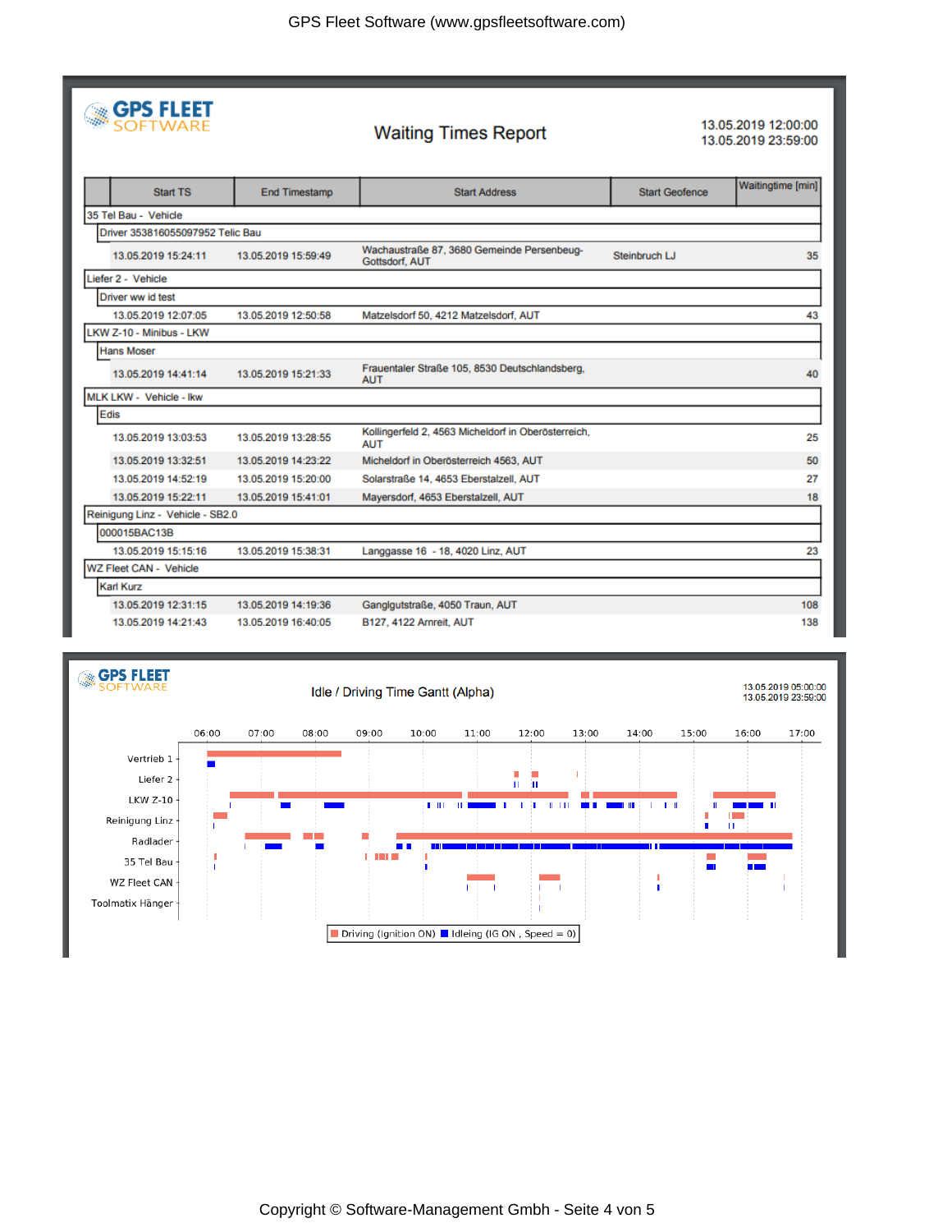|  | <b>SPS FLEET</b> |
|--|------------------|
|  |                  |

## **Waiting Times Report**

13.05.2019 12:00:00 13.05.2019 23:59:00

| <b>Start TS</b>                  | <b>End Timestamp</b> | <b>Start Address</b>                                              | <b>Start Geofence</b> | Waitingtime [min] |
|----------------------------------|----------------------|-------------------------------------------------------------------|-----------------------|-------------------|
| 35 Tel Bau - Vehicle             |                      |                                                                   |                       |                   |
| Driver 353816055097952 Telic Bau |                      |                                                                   |                       |                   |
| 13.05.2019 15:24:11              | 13.05.2019 15:59:49  | Wachaustraße 87, 3680 Gemeinde Persenbeug-<br>Gottsdorf, AUT      | Steinbruch LJ         | 35                |
| Liefer 2 - Vehicle               |                      |                                                                   |                       |                   |
| Driver ww id test                |                      |                                                                   |                       |                   |
| 13.05.2019 12:07:05              | 13.05.2019 12:50:58  | Matzelsdorf 50, 4212 Matzelsdorf, AUT                             |                       | 43                |
| LKW Z-10 - Minibus - LKW         |                      |                                                                   |                       |                   |
| <b>Hans Moser</b>                |                      |                                                                   |                       |                   |
| 13.05.2019 14:41:14              | 13.05.2019 15:21:33  | Frauentaler Straße 105, 8530 Deutschlandsberg,<br><b>AUT</b>      |                       | 40                |
| MLK LKW - Vehicle - Ikw          |                      |                                                                   |                       |                   |
| Edis                             |                      |                                                                   |                       |                   |
| 13.05.2019 13:03:53              | 13.05.2019 13:28:55  | Kollingerfeld 2, 4563 Micheldorf in Oberösterreich,<br><b>AUT</b> |                       | 25                |
| 13.05.2019 13:32:51              | 13.05.2019 14:23:22  | Micheldorf in Oberösterreich 4563, AUT                            |                       | 50                |
| 13.05.2019 14:52:19              | 13.05.2019 15:20:00  | Solarstraße 14, 4653 Eberstalzell, AUT                            |                       | 27                |
| 13.05.2019 15:22:11              | 13.05.2019 15:41:01  | Mayersdorf, 4653 Eberstalzell, AUT                                |                       | 18                |
| Reinigung Linz - Vehicle - SB2.0 |                      |                                                                   |                       |                   |
| 000015BAC13B                     |                      |                                                                   |                       |                   |
| 13.05.2019 15:15:16              | 13.05.2019 15:38:31  | Langgasse 16 - 18, 4020 Linz, AUT                                 |                       | 23                |
| WZ Fleet CAN - Vehicle           |                      |                                                                   |                       |                   |
| <b>Karl Kurz</b>                 |                      |                                                                   |                       |                   |
| 13.05.2019 12:31:15              | 13.05.2019 14:19:36  | Ganglgutstraße, 4050 Traun, AUT                                   |                       | 108               |
| 13.05.2019 14:21:43              | 13.05.2019 16:40:05  | B127, 4122 Arnreit, AUT                                           |                       | 138               |